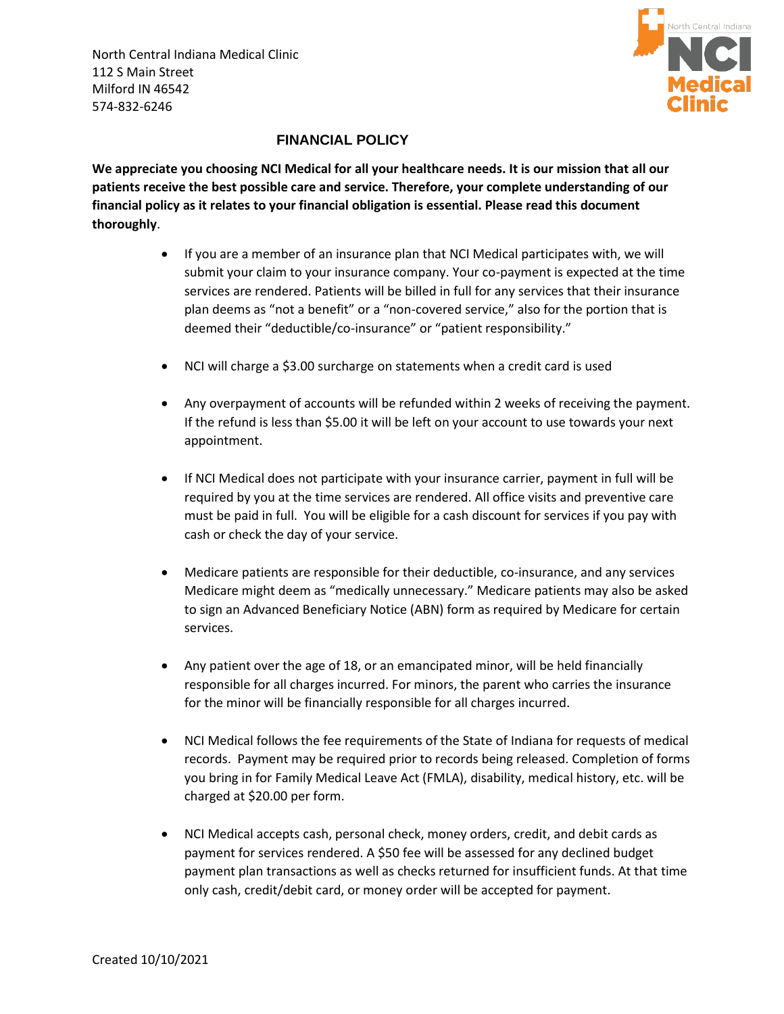North Central Indiana Medical Clinic 112 S Main Street Milford IN 46542 574-832-6246



## **FINANCIAL POLICY**

**We appreciate you choosing NCI Medical for all your healthcare needs. It is our mission that all our patients receive the best possible care and service. Therefore, your complete understanding of our financial policy as it relates to your financial obligation is essential. Please read this document thoroughly**.

- If you are a member of an insurance plan that NCI Medical participates with, we will submit your claim to your insurance company. Your co-payment is expected at the time services are rendered. Patients will be billed in full for any services that their insurance plan deems as "not a benefit" or a "non-covered service," also for the portion that is deemed their "deductible/co-insurance" or "patient responsibility."
- NCI will charge a \$3.00 surcharge on statements when a credit card is used
- Any overpayment of accounts will be refunded within 2 weeks of receiving the payment. If the refund is less than \$5.00 it will be left on your account to use towards your next appointment.
- If NCI Medical does not participate with your insurance carrier, payment in full will be required by you at the time services are rendered. All office visits and preventive care must be paid in full. You will be eligible for a cash discount for services if you pay with cash or check the day of your service.
- Medicare patients are responsible for their deductible, co-insurance, and any services Medicare might deem as "medically unnecessary." Medicare patients may also be asked to sign an Advanced Beneficiary Notice (ABN) form as required by Medicare for certain services.
- Any patient over the age of 18, or an emancipated minor, will be held financially responsible for all charges incurred. For minors, the parent who carries the insurance for the minor will be financially responsible for all charges incurred.
- NCI Medical follows the fee requirements of the State of Indiana for requests of medical records. Payment may be required prior to records being released. Completion of forms you bring in for Family Medical Leave Act (FMLA), disability, medical history, etc. will be charged at \$20.00 per form.
- NCI Medical accepts cash, personal check, money orders, credit, and debit cards as payment for services rendered. A \$50 fee will be assessed for any declined budget payment plan transactions as well as checks returned for insufficient funds. At that time only cash, credit/debit card, or money order will be accepted for payment.